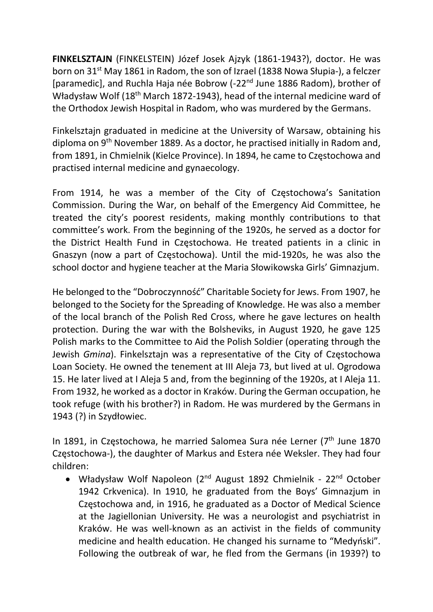FINKELSZTAJN (FINKELSTEIN) Józef Josek Ajzyk (1861-1943?), doctor. He was born on 31<sup>st</sup> May 1861 in Radom, the son of Izrael (1838 Nowa Słupia-), a felczer [paramedic], and Ruchla Haja née Bobrow (-22<sup>nd</sup> June 1886 Radom), brother of Władysław Wolf (18<sup>th</sup> March 1872-1943), head of the internal medicine ward of the Orthodox Jewish Hospital in Radom, who was murdered by the Germans.

Finkelsztajn graduated in medicine at the University of Warsaw, obtaining his diploma on 9<sup>th</sup> November 1889. As a doctor, he practised initially in Radom and, from 1891, in Chmielnik (Kielce Province). In 1894, he came to Częstochowa and practised internal medicine and gynaecology.

From 1914, he was a member of the City of Częstochowa's Sanitation Commission. During the War, on behalf of the Emergency Aid Committee, he treated the city's poorest residents, making monthly contributions to that committee's work. From the beginning of the 1920s, he served as a doctor for the District Health Fund in Częstochowa. He treated patients in a clinic in Gnaszyn (now a part of Częstochowa). Until the mid-1920s, he was also the school doctor and hygiene teacher at the Maria Słowikowska Girls' Gimnazjum.

He belonged to the "Dobroczynność" Charitable Society for Jews. From 1907, he belonged to the Society for the Spreading of Knowledge. He was also a member of the local branch of the Polish Red Cross, where he gave lectures on health protection. During the war with the Bolsheviks, in August 1920, he gave 125 Polish marks to the Committee to Aid the Polish Soldier (operating through the Jewish Gmina). Finkelsztajn was a representative of the City of Częstochowa Loan Society. He owned the tenement at III Aleja 73, but lived at ul. Ogrodowa 15. He later lived at I Aleja 5 and, from the beginning of the 1920s, at I Aleja 11. From 1932, he worked as a doctor in Kraków. During the German occupation, he took refuge (with his brother?) in Radom. He was murdered by the Germans in 1943 (?) in Szydłowiec.

In 1891, in Częstochowa, he married Salomea Sura née Lerner (7<sup>th</sup> June 1870) Częstochowa-), the daughter of Markus and Estera née Weksler. They had four children:

• Władysław Wolf Napoleon (2<sup>nd</sup> August 1892 Chmielnik - 22<sup>nd</sup> October 1942 Crkvenica). In 1910, he graduated from the Boys' Gimnazjum in Częstochowa and, in 1916, he graduated as a Doctor of Medical Science at the Jagiellonian University. He was a neurologist and psychiatrist in Kraków. He was well-known as an activist in the fields of community medicine and health education. He changed his surname to "Medyński". Following the outbreak of war, he fled from the Germans (in 1939?) to